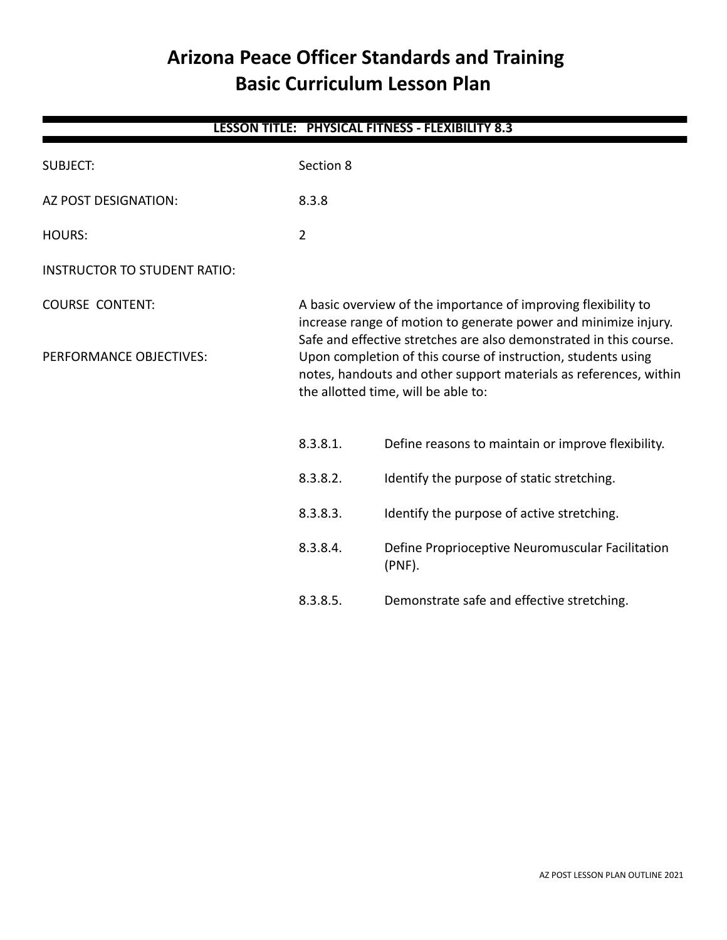# **Arizona Peace Officer Standards and Training Basic Curriculum Lesson Plan**

| LESSON TITLE: PHYSICAL FITNESS - FLEXIBILITY 8.3  |                                                                                                                                                                                                                                                                                                                                                                                      |                                                               |  |
|---------------------------------------------------|--------------------------------------------------------------------------------------------------------------------------------------------------------------------------------------------------------------------------------------------------------------------------------------------------------------------------------------------------------------------------------------|---------------------------------------------------------------|--|
| <b>SUBJECT:</b>                                   | Section 8                                                                                                                                                                                                                                                                                                                                                                            |                                                               |  |
| AZ POST DESIGNATION:                              | 8.3.8                                                                                                                                                                                                                                                                                                                                                                                |                                                               |  |
| <b>HOURS:</b>                                     | $\overline{2}$                                                                                                                                                                                                                                                                                                                                                                       |                                                               |  |
| <b>INSTRUCTOR TO STUDENT RATIO:</b>               |                                                                                                                                                                                                                                                                                                                                                                                      |                                                               |  |
| <b>COURSE CONTENT:</b><br>PERFORMANCE OBJECTIVES: | A basic overview of the importance of improving flexibility to<br>increase range of motion to generate power and minimize injury.<br>Safe and effective stretches are also demonstrated in this course.<br>Upon completion of this course of instruction, students using<br>notes, handouts and other support materials as references, within<br>the allotted time, will be able to: |                                                               |  |
|                                                   | 8.3.8.1.                                                                                                                                                                                                                                                                                                                                                                             | Define reasons to maintain or improve flexibility.            |  |
|                                                   | 8.3.8.2.                                                                                                                                                                                                                                                                                                                                                                             | Identify the purpose of static stretching.                    |  |
|                                                   | 8.3.8.3.                                                                                                                                                                                                                                                                                                                                                                             | Identify the purpose of active stretching.                    |  |
|                                                   | 8.3.8.4.                                                                                                                                                                                                                                                                                                                                                                             | Define Proprioceptive Neuromuscular Facilitation<br>$(PNF)$ . |  |
|                                                   | 8.3.8.5.                                                                                                                                                                                                                                                                                                                                                                             | Demonstrate safe and effective stretching.                    |  |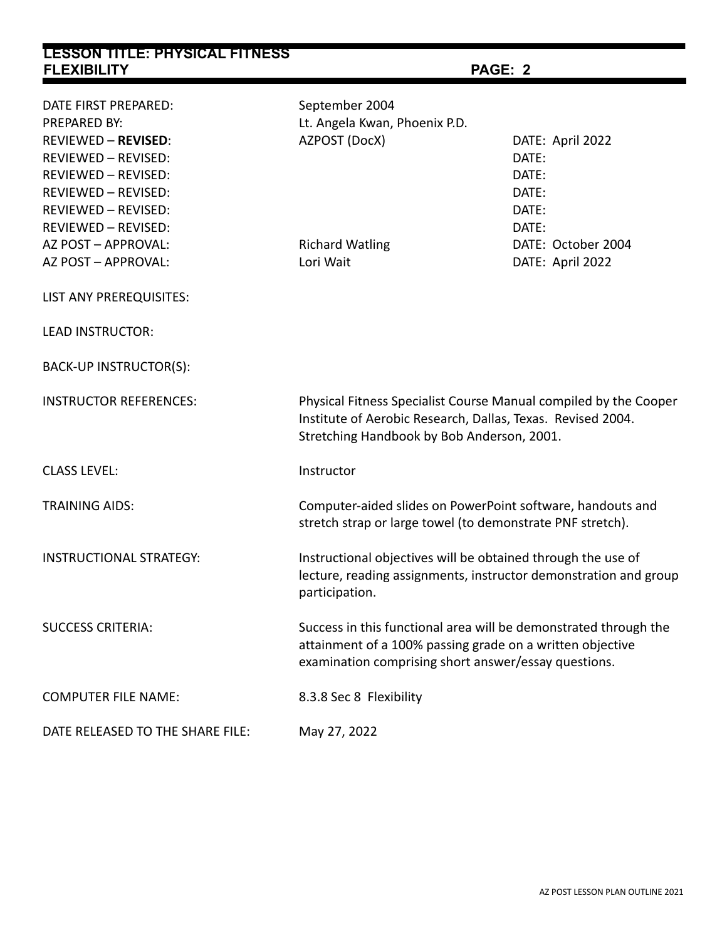| <b>LESSON TITLE: PHYSICAL FITNESS</b> |                                                                                                                                                                                       |                    |  |
|---------------------------------------|---------------------------------------------------------------------------------------------------------------------------------------------------------------------------------------|--------------------|--|
| <b>FLEXIBILITY</b>                    | PAGE: 2                                                                                                                                                                               |                    |  |
| DATE FIRST PREPARED:                  | September 2004                                                                                                                                                                        |                    |  |
| PREPARED BY:                          | Lt. Angela Kwan, Phoenix P.D.                                                                                                                                                         |                    |  |
| <b>REVIEWED - REVISED:</b>            | AZPOST (DocX)                                                                                                                                                                         | DATE: April 2022   |  |
| <b>REVIEWED - REVISED:</b>            |                                                                                                                                                                                       | DATE:              |  |
| REVIEWED - REVISED:                   |                                                                                                                                                                                       | DATE:              |  |
| REVIEWED - REVISED:                   |                                                                                                                                                                                       | DATE:              |  |
| <b>REVIEWED - REVISED:</b>            |                                                                                                                                                                                       | DATE:              |  |
| REVIEWED - REVISED:                   |                                                                                                                                                                                       | DATE:              |  |
| AZ POST - APPROVAL:                   | <b>Richard Watling</b>                                                                                                                                                                | DATE: October 2004 |  |
| AZ POST - APPROVAL:                   | Lori Wait                                                                                                                                                                             | DATE: April 2022   |  |
| LIST ANY PREREQUISITES:               |                                                                                                                                                                                       |                    |  |
| <b>LEAD INSTRUCTOR:</b>               |                                                                                                                                                                                       |                    |  |
| BACK-UP INSTRUCTOR(S):                |                                                                                                                                                                                       |                    |  |
| <b>INSTRUCTOR REFERENCES:</b>         | Physical Fitness Specialist Course Manual compiled by the Cooper<br>Institute of Aerobic Research, Dallas, Texas. Revised 2004.<br>Stretching Handbook by Bob Anderson, 2001.         |                    |  |
| <b>CLASS LEVEL:</b>                   | Instructor                                                                                                                                                                            |                    |  |
| <b>TRAINING AIDS:</b>                 | Computer-aided slides on PowerPoint software, handouts and<br>stretch strap or large towel (to demonstrate PNF stretch).                                                              |                    |  |
| <b>INSTRUCTIONAL STRATEGY:</b>        | Instructional objectives will be obtained through the use of<br>lecture, reading assignments, instructor demonstration and group<br>participation.                                    |                    |  |
| <b>SUCCESS CRITERIA:</b>              | Success in this functional area will be demonstrated through the<br>attainment of a 100% passing grade on a written objective<br>examination comprising short answer/essay questions. |                    |  |
| <b>COMPUTER FILE NAME:</b>            | 8.3.8 Sec 8 Flexibility                                                                                                                                                               |                    |  |
| DATE RELEASED TO THE SHARE FILE:      | May 27, 2022                                                                                                                                                                          |                    |  |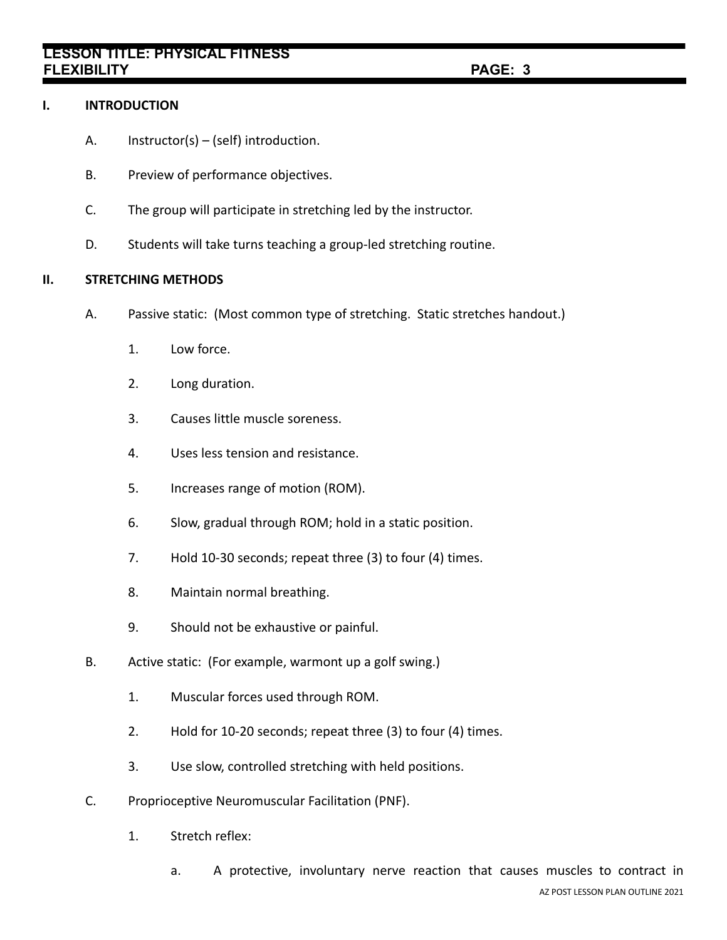# **LESSON TITLE: PHYSICAL FITNESS FLEXIBILITY PAGE: 3**

# **I. INTRODUCTION**

- A. Instructor(s) (self) introduction.
- B. Preview of performance objectives.
- C. The group will participate in stretching led by the instructor.
- D. Students will take turns teaching a group-led stretching routine.

# **II. STRETCHING METHODS**

- A. Passive static: (Most common type of stretching. Static stretches handout.)
	- 1. Low force.
	- 2. Long duration.
	- 3. Causes little muscle soreness.
	- 4. Uses less tension and resistance.
	- 5. Increases range of motion (ROM).
	- 6. Slow, gradual through ROM; hold in a static position.
	- 7. Hold 10-30 seconds; repeat three (3) to four (4) times.
	- 8. Maintain normal breathing.
	- 9. Should not be exhaustive or painful.
- B. Active static: (For example, warmont up a golf swing.)
	- 1. Muscular forces used through ROM.
	- 2. Hold for 10-20 seconds; repeat three (3) to four (4) times.
	- 3. Use slow, controlled stretching with held positions.
- C. Proprioceptive Neuromuscular Facilitation (PNF).
	- 1. Stretch reflex:
		- a. A protective, involuntary nerve reaction that causes muscles to contract in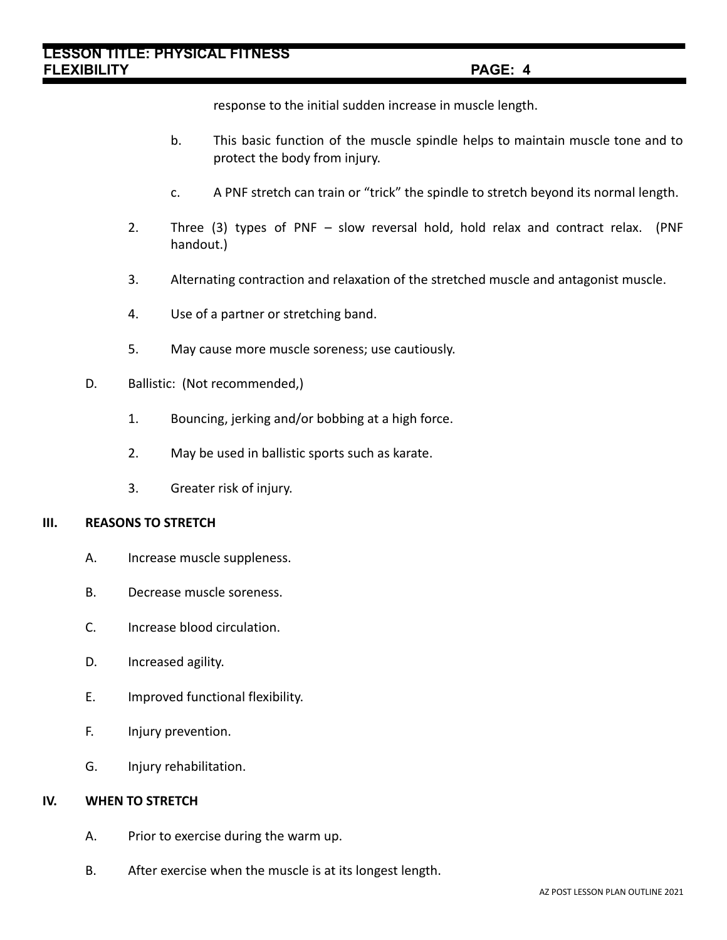response to the initial sudden increase in muscle length.

- b. This basic function of the muscle spindle helps to maintain muscle tone and to protect the body from injury.
- c. A PNF stretch can train or "trick" the spindle to stretch beyond its normal length.
- 2. Three (3) types of PNF slow reversal hold, hold relax and contract relax. (PNF handout.)
- 3. Alternating contraction and relaxation of the stretched muscle and antagonist muscle.
- 4. Use of a partner or stretching band.
- 5. May cause more muscle soreness; use cautiously.
- D. Ballistic: (Not recommended,)
	- 1. Bouncing, jerking and/or bobbing at a high force.
	- 2. May be used in ballistic sports such as karate.
	- 3. Greater risk of injury.

# **III. REASONS TO STRETCH**

- A. Increase muscle suppleness.
- B. Decrease muscle soreness.
- C. Increase blood circulation.
- D. Increased agility.
- E. Improved functional flexibility.
- F. Injury prevention.
- G. Injury rehabilitation.

# **IV. WHEN TO STRETCH**

- A. Prior to exercise during the warm up.
- B. After exercise when the muscle is at its longest length.